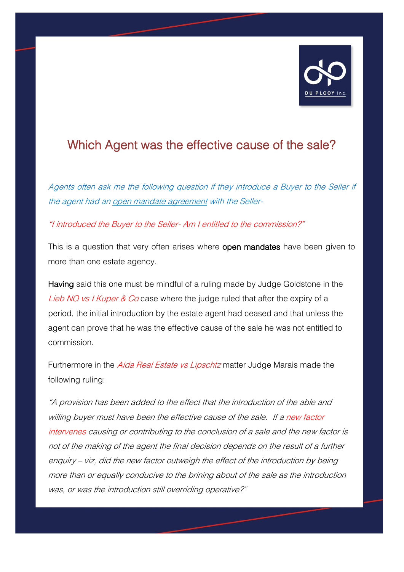

## Which Agent was the effective cause of the sale?

Agents often ask me the following question if they introduce a Buyer to the Seller if the agent had an open mandate agreement with the Seller-

"I introduced the Buyer to the Seller- Am I entitled to the commission?"

This is a question that very often arises where open mandates have been given to more than one estate agency.

Having said this one must be mindful of a ruling made by Judge Goldstone in the Lieb NO vs I Kuper & Co case where the judge ruled that after the expiry of a period, the initial introduction by the estate agent had ceased and that unless the agent can prove that he was the effective cause of the sale he was not entitled to commission.

Furthermore in the *Aida Real Estate vs Lipschtz* matter Judge Marais made the following ruling:

"A provision has been added to the effect that the introduction of the able and willing buyer must have been the effective cause of the sale. If a new factor intervenes causing or contributing to the conclusion of a sale and the new factor is not of the making of the agent the final decision depends on the result of a further enquiry – viz, did the new factor outweigh the effect of the introduction by being more than or equally conducive to the brining about of the sale as the introduction was, or was the introduction still overriding operative?"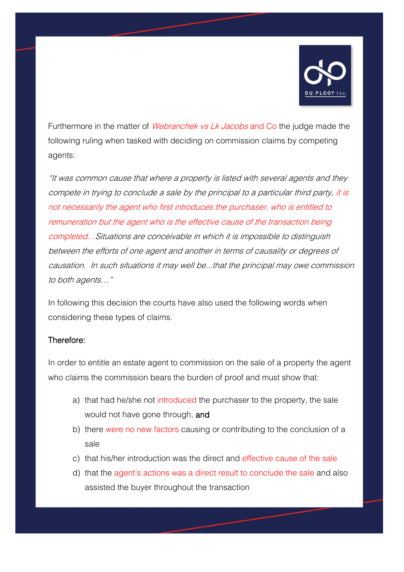

Furthermore in the matter of *Webranchek vs Lk Jacobs* and Co the judge made the following ruling when tasked with deciding on commission claims by competing agents:

"It was common cause that where a property is listed with several agents and they compete in trying to conclude a sale by the principal to a particular third party, it is not necessarily the agent who first introduces the purchaser, who is entitled to remuneration but the agent who is the effective cause of the transaction being completed…Situations are conceivable in which it is impossible to distinguish between the efforts of one agent and another in terms of causality or degrees of causation. In such situations it may well be...that the principal may owe commission to both agents…"

In following this decision the courts have also used the following words when considering these types of claims.

## Therefore:

In order to entitle an estate agent to commission on the sale of a property the agent who claims the commission bears the burden of proof and must show that:

- a) that had he/she not introduced the purchaser to the property, the sale would not have gone through, and
- b) there were no new factors causing or contributing to the conclusion of a sale
- c) that his/her introduction was the direct and effective cause of the sale
- d) that the agent's actions was a direct result to conclude the sale and also assisted the buyer throughout the transaction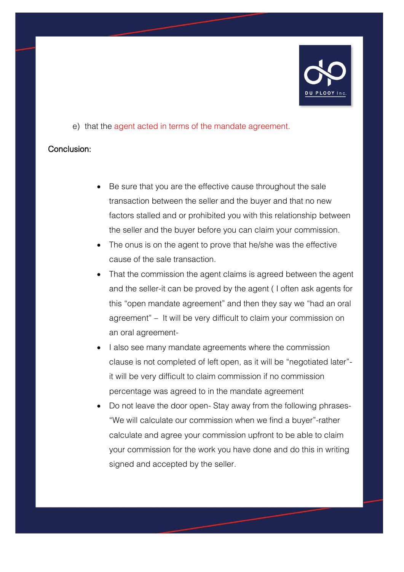

e) that the agent acted in terms of the mandate agreement.

## Conclusion:

- Be sure that you are the effective cause throughout the sale transaction between the seller and the buyer and that no new factors stalled and or prohibited you with this relationship between the seller and the buyer before you can claim your commission.
- The onus is on the agent to prove that he/she was the effective cause of the sale transaction.
- That the commission the agent claims is agreed between the agent and the seller-it can be proved by the agent ( I often ask agents for this "open mandate agreement" and then they say we "had an oral agreement" – It will be very difficult to claim your commission on an oral agreement-
- I also see many mandate agreements where the commission clause is not completed of left open, as it will be "negotiated later" it will be very difficult to claim commission if no commission percentage was agreed to in the mandate agreement
- Do not leave the door open- Stay away from the following phrases- "We will calculate our commission when we find a buyer"-rather calculate and agree your commission upfront to be able to claim your commission for the work you have done and do this in writing signed and accepted by the seller.